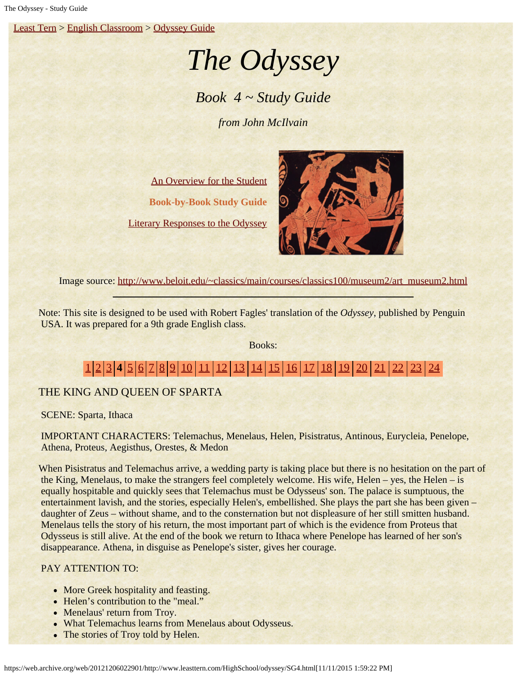[Least Tern](https://web.archive.org/web/20121206022901/http://www.leasttern.com/index.html) > [English Classroom](https://web.archive.org/web/20121206022901/http://www.leasttern.com/Engclass.html) > [Odyssey Guide](https://web.archive.org/web/20121206022901/http://www.leasttern.com/HighSchool/odyssey/Odyssey.html)

# *The Odyssey*

# *Book 4 ~ Study Guide*

*from John McIlvain*

[An Overview for the Student](https://web.archive.org/web/20121206022901/http://www.leasttern.com/HighSchool/odyssey/Odyssey1.html) **Book-by-Book Study Guide** [Literary Responses to the Odyssey](https://web.archive.org/web/20121206022901/http://www.leasttern.com/HighSchool/odyssey/Odysseyresponses.html)



Image source: [http://www.beloit.edu/~classics/main/courses/classics100/museum2/art\\_museum2.html](https://web.archive.org/web/20121206022901/http://www.beloit.edu/~classics/main/courses/classics100/museum2/art_museum2.html)

Note: This site is designed to be used with Robert Fagles' translation of the *Odyssey*, published by Penguin USA. It was prepared for a 9th grade English class.

Books:

# [1](https://web.archive.org/web/20121206022901/http://www.leasttern.com/HighSchool/odyssey/SG1.html) [2](https://web.archive.org/web/20121206022901/http://www.leasttern.com/HighSchool/odyssey/SG2.html) [3](https://web.archive.org/web/20121206022901/http://www.leasttern.com/HighSchool/odyssey/SG3.html) **4** [5](https://web.archive.org/web/20121206022901/http://www.leasttern.com/HighSchool/odyssey/SG5.html) [6](https://web.archive.org/web/20121206022901/http://www.leasttern.com/HighSchool/odyssey/SG6.html) [7](https://web.archive.org/web/20121206022901/http://www.leasttern.com/HighSchool/odyssey/SG7.html) [8](https://web.archive.org/web/20121206022901/http://www.leasttern.com/HighSchool/odyssey/SG8.html) [9](https://web.archive.org/web/20121206022901/http://www.leasttern.com/HighSchool/odyssey/SG9.html) [10](https://web.archive.org/web/20121206022901/http://www.leasttern.com/HighSchool/odyssey/SG10.html) [11](https://web.archive.org/web/20121206022901/http://www.leasttern.com/HighSchool/odyssey/SG11.html) [12](https://web.archive.org/web/20121206022901/http://www.leasttern.com/HighSchool/odyssey/SG12.html) [13](https://web.archive.org/web/20121206022901/http://www.leasttern.com/HighSchool/odyssey/SG13.html) [14](https://web.archive.org/web/20121206022901/http://www.leasttern.com/HighSchool/odyssey/SG14.html) [15](https://web.archive.org/web/20121206022901/http://www.leasttern.com/HighSchool/odyssey/SG15.html) [16](https://web.archive.org/web/20121206022901/http://www.leasttern.com/HighSchool/odyssey/SG16.html) [17](https://web.archive.org/web/20121206022901/http://www.leasttern.com/HighSchool/odyssey/SG17.html) [18](https://web.archive.org/web/20121206022901/http://www.leasttern.com/HighSchool/odyssey/SG18.html) [19](https://web.archive.org/web/20121206022901/http://www.leasttern.com/HighSchool/odyssey/SG19.html) [20](https://web.archive.org/web/20121206022901/http://www.leasttern.com/HighSchool/odyssey/SG20.html) [21](https://web.archive.org/web/20121206022901/http://www.leasttern.com/HighSchool/odyssey/SG21.html) [22](https://web.archive.org/web/20121206022901/http://www.leasttern.com/HighSchool/odyssey/SG22.html) [23](https://web.archive.org/web/20121206022901/http://www.leasttern.com/HighSchool/odyssey/SG23.html) [24](https://web.archive.org/web/20121206022901/http://www.leasttern.com/HighSchool/odyssey/SG24.html)

## THE KING AND QUEEN OF SPARTA

SCENE: Sparta, Ithaca

 IMPORTANT CHARACTERS: Telemachus, Menelaus, Helen, Pisistratus, Antinous, Eurycleia, Penelope, Athena, Proteus, Aegisthus, Orestes, & Medon

When Pisistratus and Telemachus arrive, a wedding party is taking place but there is no hesitation on the part of the King, Menelaus, to make the strangers feel completely welcome. His wife, Helen – yes, the Helen – is equally hospitable and quickly sees that Telemachus must be Odysseus' son. The palace is sumptuous, the entertainment lavish, and the stories, especially Helen's, embellished. She plays the part she has been given – daughter of Zeus – without shame, and to the consternation but not displeasure of her still smitten husband. Menelaus tells the story of his return, the most important part of which is the evidence from Proteus that Odysseus is still alive. At the end of the book we return to Ithaca where Penelope has learned of her son's disappearance. Athena, in disguise as Penelope's sister, gives her courage.

## PAY ATTENTION TO:

- More Greek hospitality and feasting.
- Helen's contribution to the "meal."
- Menelaus' return from Troy.
- What Telemachus learns from Menelaus about Odysseus.
- The stories of Troy told by Helen.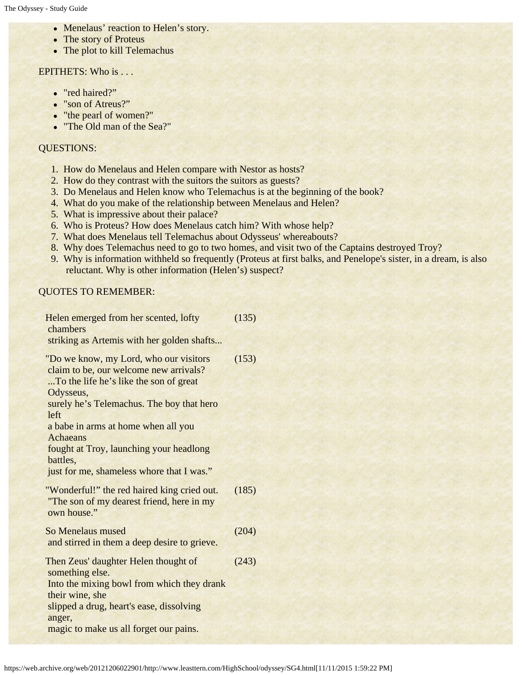- Menelaus' reaction to Helen's story.
- The story of Proteus
- The plot to kill Telemachus

#### EPITHETS: Who is ...

- "red haired?"
- "son of Atreus?"
- "the pearl of women?"
- "The Old man of the Sea?"

#### QUESTIONS:

- 1. How do Menelaus and Helen compare with Nestor as hosts?
- 2. How do they contrast with the suitors the suitors as guests?
- 3. Do Menelaus and Helen know who Telemachus is at the beginning of the book?
- 4. What do you make of the relationship between Menelaus and Helen?
- 5. What is impressive about their palace?
- 6. Who is Proteus? How does Menelaus catch him? With whose help?
- 7. What does Menelaus tell Telemachus about Odysseus' whereabouts?
- 8. Why does Telemachus need to go to two homes, and visit two of the Captains destroyed Troy?
- 9. Why is information withheld so frequently (Proteus at first balks, and Penelope's sister, in a dream, is also reluctant. Why is other information (Helen's) suspect?

### QUOTES TO REMEMBER:

| Helen emerged from her scented, lofty<br>chambers                                                                                                                                                                                               | (135) |
|-------------------------------------------------------------------------------------------------------------------------------------------------------------------------------------------------------------------------------------------------|-------|
| striking as Artemis with her golden shafts                                                                                                                                                                                                      |       |
| "Do we know, my Lord, who our visitors<br>claim to be, our welcome new arrivals?<br>To the life he's like the son of great<br>Odysseus,<br>surely he's Telemachus. The boy that hero<br>left<br>a babe in arms at home when all you<br>Achaeans | (153) |
| fought at Troy, launching your headlong<br>battles,<br>just for me, shameless whore that I was."                                                                                                                                                |       |
| "Wonderful!" the red haired king cried out.<br>"The son of my dearest friend, here in my<br>own house."                                                                                                                                         | (185) |
| So Menelaus mused<br>and stirred in them a deep desire to grieve.                                                                                                                                                                               | (204) |
| Then Zeus' daughter Helen thought of<br>something else.                                                                                                                                                                                         | (243) |
| Into the mixing bowl from which they drank<br>their wine, she                                                                                                                                                                                   |       |
| slipped a drug, heart's ease, dissolving<br>anger,                                                                                                                                                                                              |       |
| magic to make us all forget our pains.                                                                                                                                                                                                          |       |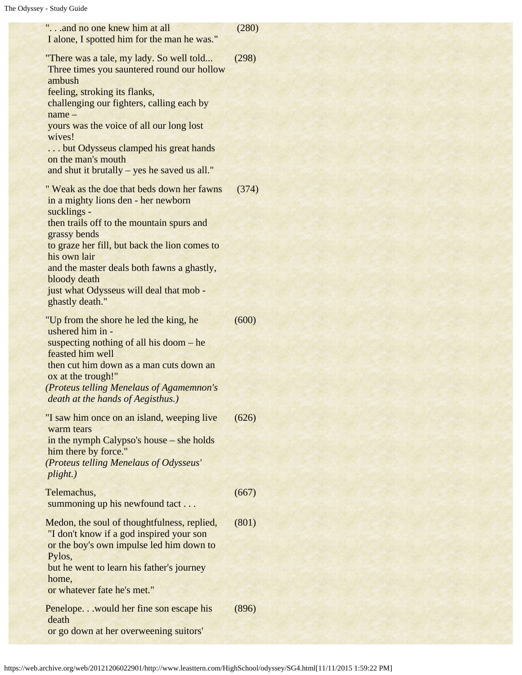| "and no one knew him at all<br>I alone, I spotted him for the man he was."                                                                                                                                                                                                                                                                                                                                   | (280)          |
|--------------------------------------------------------------------------------------------------------------------------------------------------------------------------------------------------------------------------------------------------------------------------------------------------------------------------------------------------------------------------------------------------------------|----------------|
| "There was a tale, my lady. So well told<br>Three times you sauntered round our hollow<br>ambush<br>feeling, stroking its flanks,<br>challenging our fighters, calling each by<br>$name -$<br>yours was the voice of all our long lost<br>wives!<br>but Odysseus clamped his great hands<br>on the man's mouth<br>and shut it brutally - yes he saved us all."<br>" Weak as the doe that beds down her fawns | (298)<br>(374) |
| in a mighty lions den - her newborn<br>sucklings -<br>then trails off to the mountain spurs and<br>grassy bends<br>to graze her fill, but back the lion comes to<br>his own lair<br>and the master deals both fawns a ghastly,<br>bloody death<br>just what Odysseus will deal that mob -<br>ghastly death."                                                                                                 |                |
| "Up from the shore he led the king, he<br>ushered him in -<br>suspecting nothing of all his doom $-$ he<br>feasted him well<br>then cut him down as a man cuts down an<br>ox at the trough!"<br>(Proteus telling Menelaus of Agamemnon's<br>death at the hands of Aegisthus.)                                                                                                                                | (600)          |
| "I saw him once on an island, weeping live<br>warm tears<br>in the nymph Calypso's house – she holds<br>him there by force."<br>(Proteus telling Menelaus of Odysseus'<br>plight.)                                                                                                                                                                                                                           | (626)          |
| Telemachus,<br>summoning up his newfound tact                                                                                                                                                                                                                                                                                                                                                                | (667)          |
| Medon, the soul of thoughtfulness, replied,<br>"I don't know if a god inspired your son<br>or the boy's own impulse led him down to<br>Pylos,<br>but he went to learn his father's journey<br>home,<br>or whatever fate he's met."                                                                                                                                                                           | (801)          |
| Penelope would her fine son escape his<br>death<br>or go down at her overweening suitors'                                                                                                                                                                                                                                                                                                                    | (896)          |